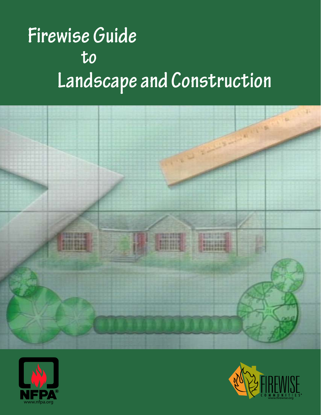# **to Landscape and Construction Firewise Guide**





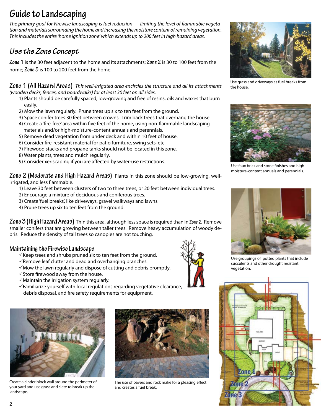## **Guide to Landscaping**

*The primary goal for Firewise landscaping is fuel reduction — limiting the level of flammable vegetation and materials surrounding the home and increasing the moisture content of remaining vegetation. This includes the entire 'home ignition zone' which extends up to 200 feet in high hazard areas.*

### *Use the Zone Concept*

**Zone 1** is the 30 feet adjacent to the home and its attachments; **Zone 2** is 30 to 100 feet from the home; **Zone 3** is 100 to 200 feet from the home.

**Zone 1 (All Hazard Areas)** *This well-irrigated area encircles the structure and all its attachments (wooden decks, fences, and boardwalks) for at least 30 feet on all sides.* 

- 1) Plants should be carefully spaced, low-growing and free of resins, oils and waxes that burn easily.
- 2) Mow the lawn regularly. Prune trees up six to ten feet from the ground.
- 3) Space conifer trees 30 feet between crowns. Trim back trees that overhang the house.
- 4) Create a 'fire-free' area within five feet of the home, using non-flammable landscaping materials and/or high-moisture-content annuals and perennials.
- 5) Remove dead vegetation from under deck and within 10 feet of house.
- 6) Consider fire-resistant material for patio furniture, swing sets, etc.
- 7) Firewood stacks and propane tanks should not be located in this zone.
- 8) Water plants, trees and mulch regularly.
- 9) Consider xeriscaping if you are affected by water-use restrictions.

**Zone 2 (Moderate and High Hazard Areas)** Plants in this zone should be low-growing, wellirrigated, and less flammable.

1) Leave 30 feet between clusters of two to three trees, or 20 feet between individual trees.

- 2) Encourage a mixture of deciduous and coniferous trees.
- 3) Create 'fuel breaks', like driveways, gravel walkways and lawns.
- 4) Prune trees up six to ten feet from the ground.

**Zone 3 (High Hazard Areas)** Thin this area, although less space is required than in **Zone 2**. Remove smaller conifers that are growing between taller trees. Remove heavy accumulation of woody debris. Reduce the density of tall trees so canopies are not touching.

#### **Maintaining the Firewise Landscape**

- $\checkmark$  Keep trees and shrubs pruned six to ten feet from the ground.
- $\sqrt{R}$ emove leaf clutter and dead and overhanging branches.
- $\sqrt{2}$  Mow the lawn regularly and dispose of cutting and debris promptly.
- $\checkmark$  Store firewood away from the house.
- $\sqrt{M}$ aintain the irrigation system regularly.
- $\sqrt{\ }$ Familiarize yourself with local regulations regarding vegetative clearance, debris disposal, and fire safety requirements for equipment.



Create a cinder block wall around the perimeter of your yard and use grass and slate to break up the landscape.



The use of pavers and rock make for a pleasing effect and creates a fuel break.



Use grass and driveways as fuel breaks from the house.



Use faux brick and stone finishes and highmoisture-content annuals and perennials.



Use groupings of potted plants that include succulents and other drought resistant vegetation.

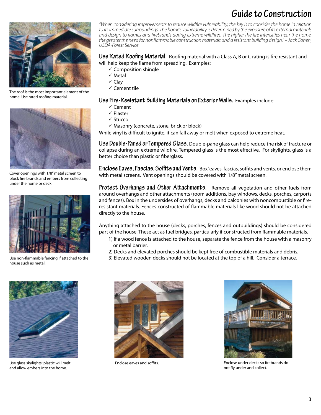## **Guide to Construction**



The roof is the most important element of the home. Use rated roofing material.



Cover openings with 1/8" metal screen to block fire brands and embers from collecting under the home or deck.



Use non-flammable fencing if attached to the house such as metal.



Use glass skylights; plastic will melt and allow embers into the home.

*"When considering improvements to reduce wildfire vulnerability, the key is to consider the home in relation to its immediate surroundings. The home's vulnerability is determined by the exposure of its external materials and design to flames and firebrands during extreme wildfires. The higher the fire intensities near the home, the greater the need for nonflammable construction materials and a resistant building design." – Jack Cohen, USDA-Forest Service*

#### **Use Rated Roofing Material.** Roofing material with a Class A, B or C rating is fire resistant and will help keep the flame from spreading. Examples:

- $\checkmark$  Composition shingle
- $\checkmark$  Metal
- $\checkmark$  Clav
- $\checkmark$  Cement tile

#### **Use Fire-Resistant Building Materials on Exterior Walls.** Examples include:

- $\checkmark$  Cement
- $\checkmark$  Plaster
- $\checkmark$  Stucco
- $\checkmark$  Masonry (concrete, stone, brick or block)

While vinyl is difficult to ignite, it can fall away or melt when exposed to extreme heat.

**Use Double-Paned or Tempered Glass.** Double-pane glass can help reduce the risk of fracture or collapse during an extreme wildfire. Tempered glass is the most effective. For skylights, glass is a better choice than plastic or fiberglass.

**Enclose Eaves, Fascias, Soffits and Vents.** 'Box' eaves, fascias, soffits and vents, or enclose them with metal screens. Vent openings should be covered with 1/8" metal screen.

**Protect Overhangs and Other Attachments.** Remove all vegetation and other fuels from around overhangs and other attachments (room additions, bay windows, decks, porches, carports and fences). Box in the undersides of overhangs, decks and balconies with noncombustible or fireresistant materials. Fences constructed of flammable materials like wood should not be attached directly to the house.

Anything attached to the house (decks, porches, fences and outbuildings) should be considered part of the house. These act as fuel bridges, particularly if constructed from flammable materials.

- 1) If a wood fence is attached to the house, separate the fence from the house with a masonry or metal barrier.
- 2) Decks and elevated porches should be kept free of combustible materials and debris.
- 3) Elevated wooden decks should not be located at the top of a hill. Consider a terrace.



Enclose eaves and soffits.



Enclose under decks so firebrands do not fly under and collect.